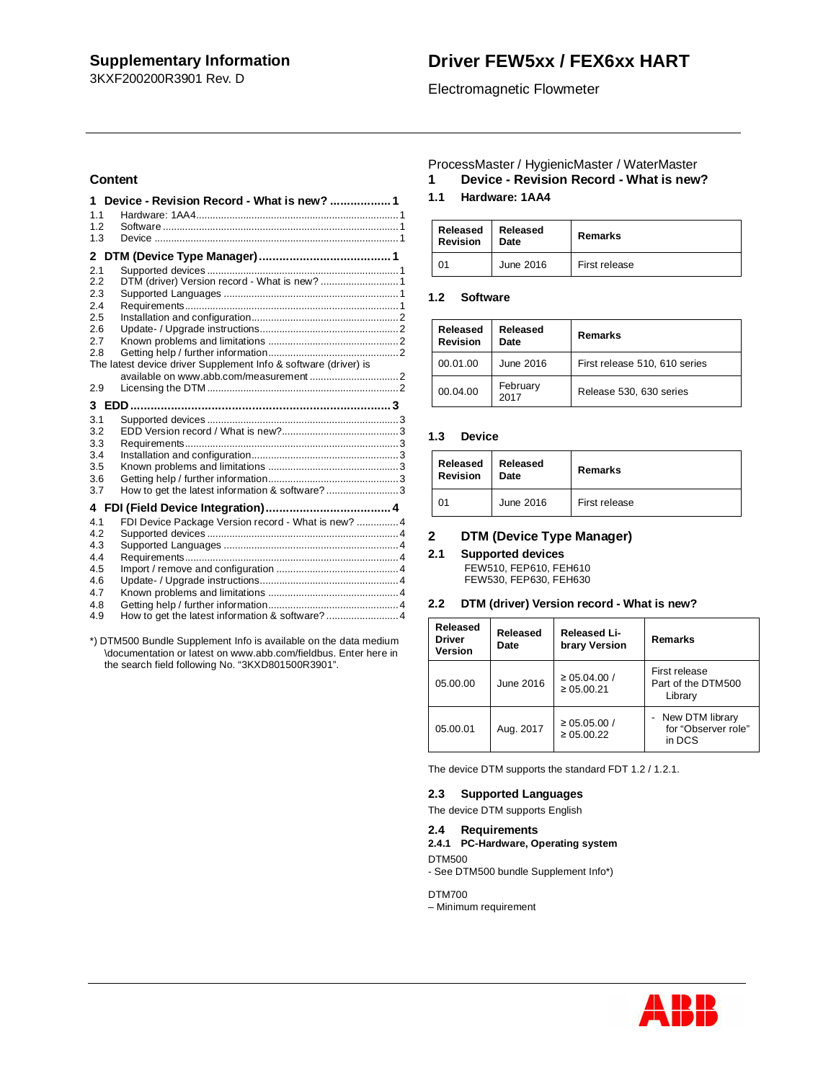3KXF200200R3901 Rev. D

# **Driver FEW5xx / FEX6xx HART**

## Electromagnetic Flowmeter

## **Content**

| 1              | Device - Revision Record - What is new? 1                       |
|----------------|-----------------------------------------------------------------|
| 1.1            |                                                                 |
| 1.2            |                                                                 |
| 1.3            |                                                                 |
| $\mathbf{2}^-$ |                                                                 |
| 2.1            |                                                                 |
| 2.2            | DTM (driver) Version record - What is new?  1                   |
| 2.3            |                                                                 |
| 2.4            |                                                                 |
| 2.5            |                                                                 |
| 2.6            |                                                                 |
| 2.7            |                                                                 |
| 2.8            |                                                                 |
|                | The latest device driver Supplement Info & software (driver) is |
|                |                                                                 |
| 2.9            |                                                                 |
|                |                                                                 |
| 3.1            |                                                                 |
| 3.2            |                                                                 |
| 3.3            |                                                                 |
| 3.4            |                                                                 |
| 3.5            |                                                                 |
| 3.6            |                                                                 |
| 3.7            | How to get the latest information & software?3                  |
|                |                                                                 |
| 4.1            | FDI Device Package Version record - What is new?  4             |
| 4.2            |                                                                 |
| 4.3            |                                                                 |
| 4.4            |                                                                 |
| 4.5            |                                                                 |
| 4.6            |                                                                 |
| 4.7            |                                                                 |
| 4.8            |                                                                 |
| 4.9            | How to get the latest information & software?  4                |

\*) DTM500 Bundle Supplement Info is available on the data medium \documentation or latest on www.abb.com/fieldbus. Enter here in the search field following No. "3KXD801500R3901".

## ProcessMaster / HygienicMaster / WaterMaster

**1 Device - Revision Record - What is new?**

## **1.1 Hardware: 1AA4**

| Released<br><b>Revision</b> | Released<br>Date | <b>Remarks</b> |  |
|-----------------------------|------------------|----------------|--|
| 01                          | June 2016        | First release  |  |

## **1.2 Software**

| Released<br><b>Revision</b> | Released<br>Date | Remarks                       |  |
|-----------------------------|------------------|-------------------------------|--|
| 00.01.00                    | June 2016        | First release 510, 610 series |  |
| 00.04.00                    | February<br>2017 | Release 530, 630 series       |  |

## **1.3 Device**

| Released<br><b>Revision</b> | Released<br>Date | Remarks       |
|-----------------------------|------------------|---------------|
| 01                          | June 2016        | First release |

## **2 DTM (Device Type Manager)**

## **2.1 Supported devices**

FEW510, FEP610, FEH610 FEW530, FEP630, FEH630

### **2.2 DTM (driver) Version record - What is new?**

| Released<br>Released<br>Released Li-<br><b>Driver</b><br>brary Version<br>Date<br>Version |           | Remarks                               |                                                  |
|-------------------------------------------------------------------------------------------|-----------|---------------------------------------|--------------------------------------------------|
| 05.00.00                                                                                  | June 2016 | $\geq 05.04.00$ /<br>$\geq 0.5.00.21$ | First release<br>Part of the DTM500<br>Library   |
| 05.00.01                                                                                  | Aug. 2017 | $\geq 05.05.00$ /<br>$\geq 05.00.22$  | New DTM library<br>for "Observer role"<br>in DCS |

The device DTM supports the standard FDT 1.2 / 1.2.1.

## **2.3 Supported Languages**

The device DTM supports English

## **2.4 Requirements**

- **2.4.1 PC-Hardware, Operating system**
- DTM500 - See DTM500 bundle Supplement Info\*)

DTM700

– Minimum requirement

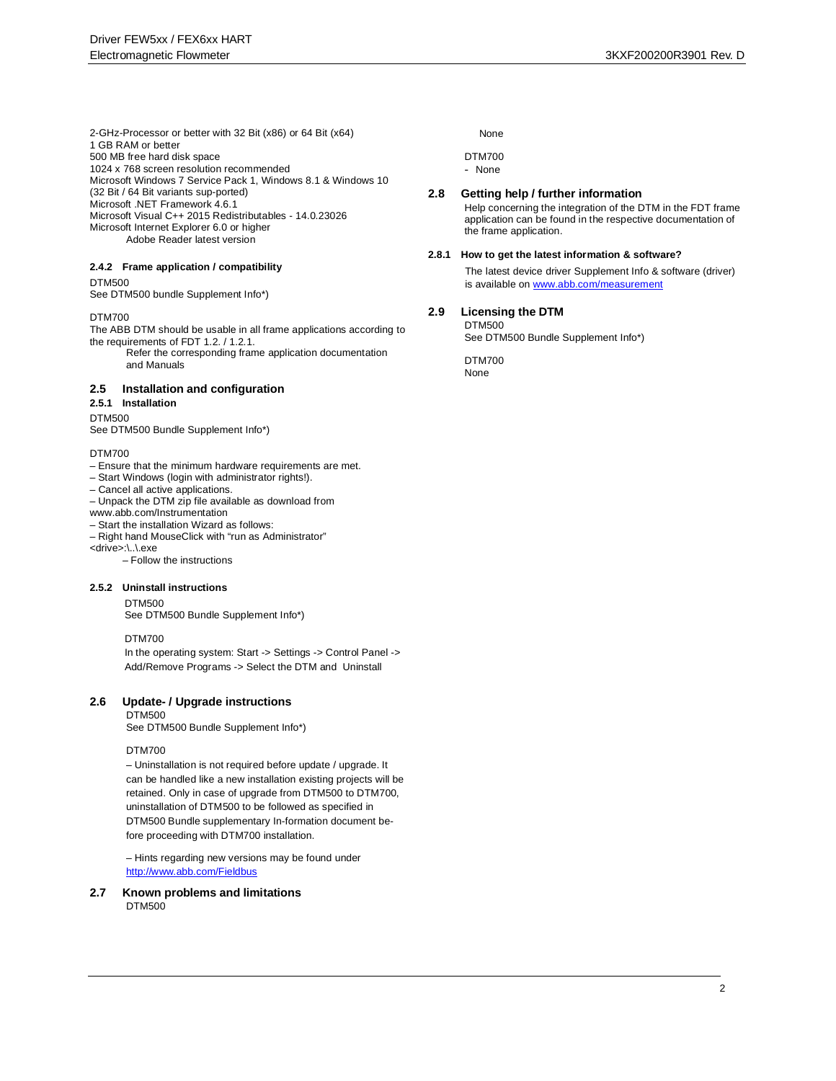2-GHz-Processor or better with 32 Bit (x86) or 64 Bit (x64) 1 GB RAM or better 500 MB free hard disk space 1024 x 768 screen resolution recommended Microsoft Windows 7 Service Pack 1, Windows 8.1 & Windows 10 (32 Bit / 64 Bit variants sup-ported) Microsoft .NET Framework 4.6.1 Microsoft Visual C++ 2015 Redistributables - 14.0.23026 Microsoft Internet Explorer 6.0 or higher Adobe Reader latest version

### **2.4.2 Frame application / compatibility**

#### DTM500

See DTM500 bundle Supplement Info\*)

#### DTM700

The ABB DTM should be usable in all frame applications according to the requirements of FDT 1.2. / 1.2.1.

Refer the corresponding frame application documentation and Manuals

## **2.5 Installation and configuration**

## **2.5.1 Installation**

DTM500

See DTM500 Bundle Supplement Info\*)

#### DTM700

- Ensure that the minimum hardware requirements are met.
- Start Windows (login with administrator rights!).
- Cancel all active applications.
- Unpack the DTM zip file available as download from
- www.abb.com/Instrumentation
- Start the installation Wizard as follows:
- Right hand MouseClick with "run as Administrator"
- <drive>:\..\.exe

– Follow the instructions

### **2.5.2 Uninstall instructions**

DTM500 See DTM500 Bundle Supplement Info\*)

#### DTM700

In the operating system: Start -> Settings -> Control Panel -> Add/Remove Programs -> Select the DTM and Uninstall

### **2.6 Update- / Upgrade instructions**

DTM500 See DTM500 Bundle Supplement Info\*)

#### DTM700

– Uninstallation is not required before update / upgrade. It can be handled like a new installation existing projects will be retained. Only in case of upgrade from DTM500 to DTM700, uninstallation of DTM500 to be followed as specified in DTM500 Bundle supplementary In-formation document before proceeding with DTM700 installation.

– Hints regarding new versions may be found under http://www.abb.com/Fieldbus

**2.7 Known problems and limitations** DTM500

### None

DTM700

- None

#### **2.8 Getting help / further information**

Help concerning the integration of the DTM in the FDT frame application can be found in the respective documentation of the frame application.

#### **2.8.1 How to get the latest information & software?**

The latest device driver Supplement Info & software (driver) is available on www.abb.com/measurement

### **2.9 Licensing the DTM**

DTM500 See DTM500 Bundle Supplement Info\*)

DTM700 None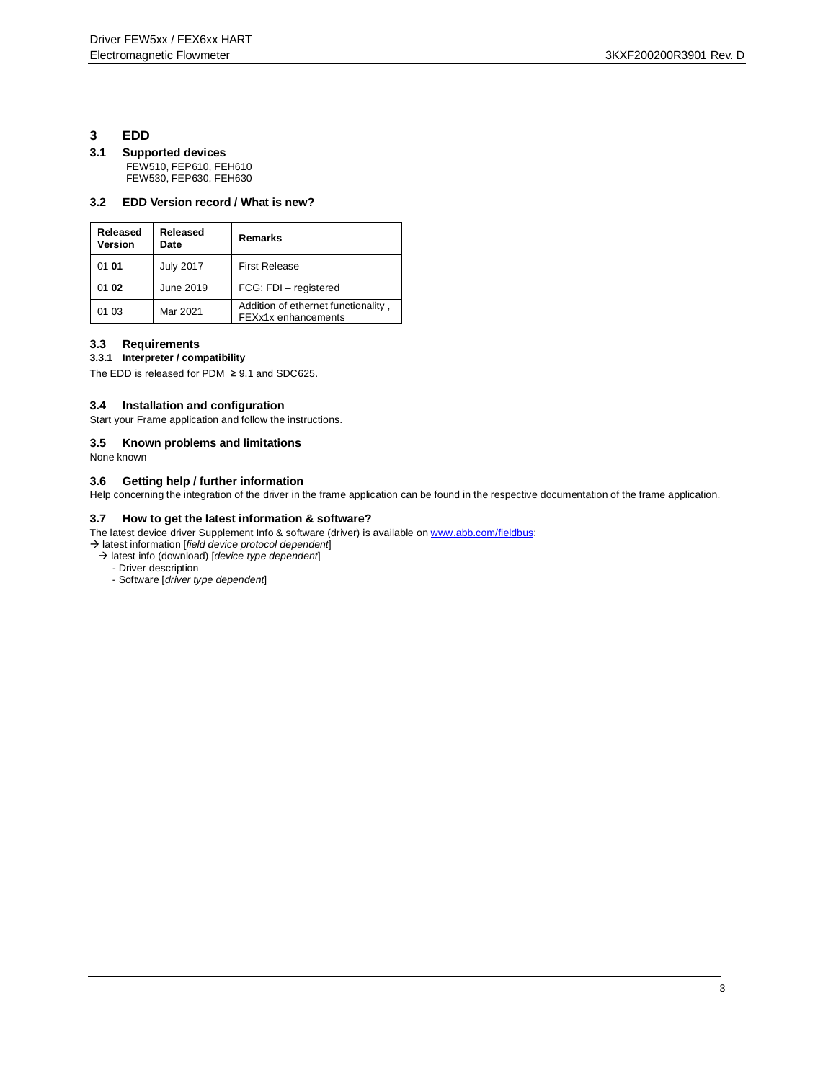## **3 EDD**

### **3.1 Supported devices** FEW510, FEP610, FEH610 FEW530, FEP630, FEH630

## **3.2 EDD Version record / What is new?**

| Released<br>Version | Released<br>Date | Remarks                                                    |  |
|---------------------|------------------|------------------------------------------------------------|--|
| 01 01               | <b>July 2017</b> | <b>First Release</b>                                       |  |
| 01 02               | June 2019        | FCG: FDI - registered                                      |  |
| 01 03               | Mar 2021         | Addition of ethernet functionality,<br>FEXx1x enhancements |  |

## **3.3 Requirements**

### **3.3.1 Interpreter / compatibility**

The EDD is released for PDM  $\geq$  9.1 and SDC625.

## **3.4 Installation and configuration**

Start your Frame application and follow the instructions.

## **3.5 Known problems and limitations**

None known

## **3.6 Getting help / further information**

Help concerning the integration of the driver in the frame application can be found in the respective documentation of the frame application.

## **3.7 How to get the latest information & software?**

The latest device driver Supplement Info & software (driver) is available on www.abb.com/fieldbus:

- latest information [*field device protocol dependent*]
	- latest info (download) [*device type dependent*]
		- Driver description
		- Software [*driver type dependent*]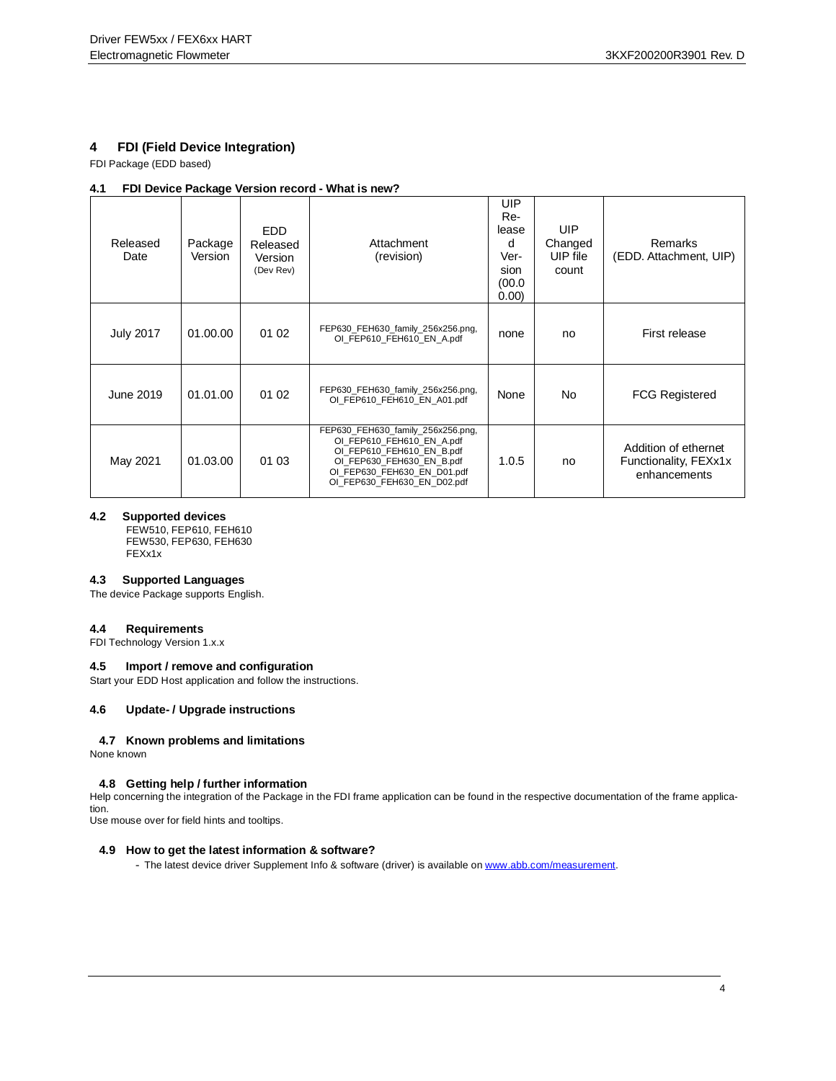## **4 FDI (Field Device Integration)**

FDI Package (EDD based)

### **4.1 FDI Device Package Version record - What is new?**

| Released<br>Date | Package<br>Version | <b>EDD</b><br>Released<br>Version<br>(Dev Rev) | Attachment<br>(revision)                                                                                                                                                               | UIP<br>Re-<br>lease<br>d<br>Ver-<br>sion<br>(00.0)<br>0.00 | <b>UIP</b><br>Changed<br>UIP file<br>count | <b>Remarks</b><br>(EDD. Attachment, UIP)                      |
|------------------|--------------------|------------------------------------------------|----------------------------------------------------------------------------------------------------------------------------------------------------------------------------------------|------------------------------------------------------------|--------------------------------------------|---------------------------------------------------------------|
| <b>July 2017</b> | 01.00.00           | 01 02                                          | FEP630_FEH630_family_256x256.png,<br>OI FEP610 FEH610 EN A.pdf                                                                                                                         | none                                                       | no                                         | First release                                                 |
| June 2019        | 01.01.00           | 01 02                                          | FEP630_FEH630_family_256x256.png,<br>OI FEP610 FEH610 EN A01.pdf                                                                                                                       | None                                                       | No                                         | <b>FCG Registered</b>                                         |
| May 2021         | 01.03.00           | 01 03                                          | FEP630_FEH630_family_256x256.png,<br>OI_FEP610_FEH610_EN_A.pdf<br>OI_FEP610_FEH610_EN_B.pdf<br>OI FEP630 FEH630 EN B.pdf<br>OI FEP630 FEH630 EN D01.pdf<br>OI FEP630 FEH630 EN D02.pdf | 1.0.5                                                      | no                                         | Addition of ethernet<br>Functionality, FEXx1x<br>enhancements |

### **4.2 Supported devices**

FEW510, FEP610, FEH610 FEW530, FEP630, FEH630 FEXx1x

### **4.3 Supported Languages**

The device Package supports English.

### **4.4 Requirements**

FDI Technology Version 1.x.x

### **4.5 Import / remove and configuration**

Start your EDD Host application and follow the instructions.

### **4.6 Update- / Upgrade instructions**

### **4.7 Known problems and limitations**

None known

### **4.8 Getting help / further information**

Help concerning the integration of the Package in the FDI frame application can be found in the respective documentation of the frame application.

Use mouse over for field hints and tooltips.

### **4.9 How to get the latest information & software?**

- The latest device driver Supplement Info & software (driver) is available on www.abb.com/measurement.